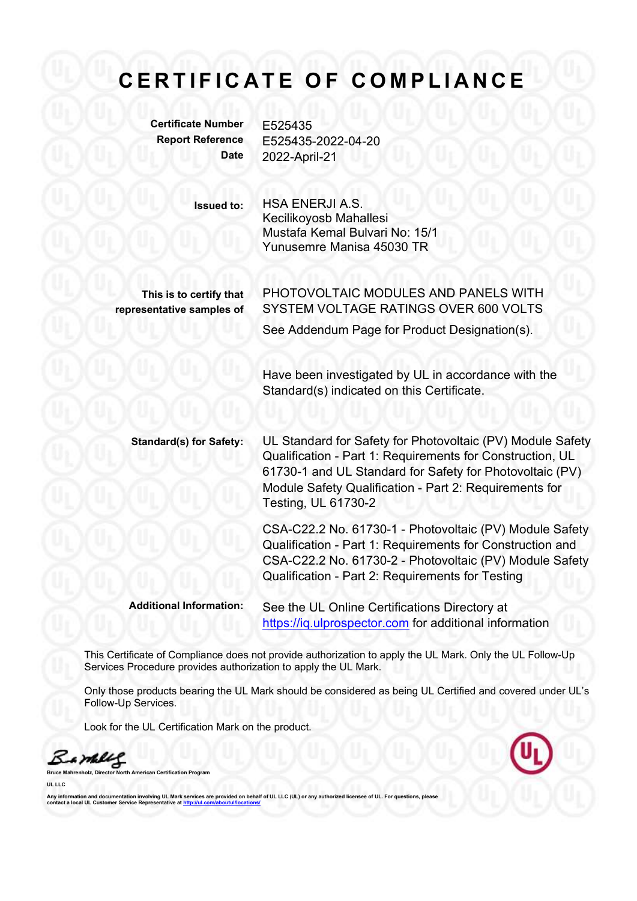## C E R T I F I C A T E O F C O M P L I A N C E<br>
Certificate Number E525435<br>
Report Reference E525435-2022-04-20

Certificate Number F525435

Report Reference E525435-2022-04-20 Date 2022-April-21

> Issued to: HSA ENERJI A.S. Kecilikoyosb Mahallesi Mustafa Kemal Bulvari No: 15/1 Yunusemre Manisa 45030 TR

This is to certify that representative samples of

PHOTOVOLTAIC MODULES AND PANELS WITH SYSTEM VOLTAGE RATINGS OVER 600 VOLTS See Addendum Page for Product Designation(s).

Have been investigated by UL in accordance with the Standard(s) indicated on this Certificate.

Standard(s) for Safety: UL Standard for Safety for Photovoltaic (PV) Module Safety Qualification - Part 1: Requirements for Construction, UL 61730-1 and UL Standard for Safety for Photovoltaic (PV) Module Safety Qualification - Part 2: Requirements for Testing, UL 61730-2

> CSA-C22.2 No. 61730-1 - Photovoltaic (PV) Module Safety Qualification - Part 1: Requirements for Construction and CSA-C22.2 No. 61730-2 - Photovoltaic (PV) Module Safety Qualification - Part 2: Requirements for Testing

Additional Information: See the UL Online Certifications Directory at https://iq.ulprospector.com for additional information

This Certificate of Compliance does not provide authorization to apply the UL Mark. Only the UL Follow-Up Services Procedure provides authorization to apply the UL Mark.

Only those products bearing the UL Mark should be considered as being UL Certified and covered under UL's Follow-Up Services.

Look for the UL Certification Mark on the product.

a malil

Certification Program

UL LLC

.<br>Antion involving UL Mark services are provided on behalf of UL LLC (UL) or any authorized licensee of UL. For questions, p Any information and documentation involvir<br>contact a local UL Customer Service Repres